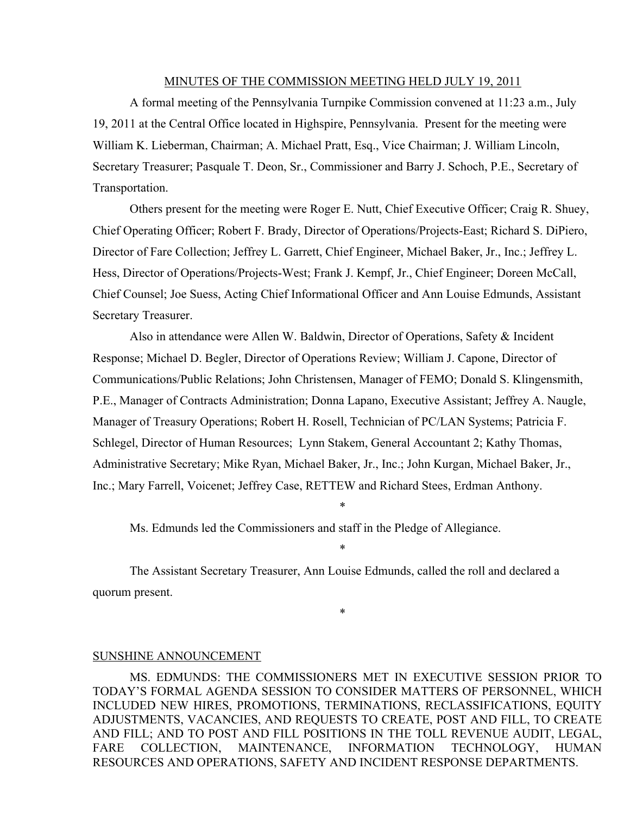#### MINUTES OF THE COMMISSION MEETING HELD JULY 19, 2011

A formal meeting of the Pennsylvania Turnpike Commission convened at 11:23 a.m., July 19, 2011 at the Central Office located in Highspire, Pennsylvania. Present for the meeting were William K. Lieberman, Chairman; A. Michael Pratt, Esq., Vice Chairman; J. William Lincoln, Secretary Treasurer; Pasquale T. Deon, Sr., Commissioner and Barry J. Schoch, P.E., Secretary of Transportation.

Others present for the meeting were Roger E. Nutt, Chief Executive Officer; Craig R. Shuey, Chief Operating Officer; Robert F. Brady, Director of Operations/Projects-East; Richard S. DiPiero, Director of Fare Collection; Jeffrey L. Garrett, Chief Engineer, Michael Baker, Jr., Inc.; Jeffrey L. Hess, Director of Operations/Projects-West; Frank J. Kempf, Jr., Chief Engineer; Doreen McCall, Chief Counsel; Joe Suess, Acting Chief Informational Officer and Ann Louise Edmunds, Assistant Secretary Treasurer.

Also in attendance were Allen W. Baldwin, Director of Operations, Safety & Incident Response; Michael D. Begler, Director of Operations Review; William J. Capone, Director of Communications/Public Relations; John Christensen, Manager of FEMO; Donald S. Klingensmith, P.E., Manager of Contracts Administration; Donna Lapano, Executive Assistant; Jeffrey A. Naugle, Manager of Treasury Operations; Robert H. Rosell, Technician of PC/LAN Systems; Patricia F. Schlegel, Director of Human Resources; Lynn Stakem, General Accountant 2; Kathy Thomas, Administrative Secretary; Mike Ryan, Michael Baker, Jr., Inc.; John Kurgan, Michael Baker, Jr., Inc.; Mary Farrell, Voicenet; Jeffrey Case, RETTEW and Richard Stees, Erdman Anthony.

\*

\*

\*

Ms. Edmunds led the Commissioners and staff in the Pledge of Allegiance.

The Assistant Secretary Treasurer, Ann Louise Edmunds, called the roll and declared a quorum present.

#### SUNSHINE ANNOUNCEMENT

MS. EDMUNDS: THE COMMISSIONERS MET IN EXECUTIVE SESSION PRIOR TO TODAY'S FORMAL AGENDA SESSION TO CONSIDER MATTERS OF PERSONNEL, WHICH INCLUDED NEW HIRES, PROMOTIONS, TERMINATIONS, RECLASSIFICATIONS, EQUITY ADJUSTMENTS, VACANCIES, AND REQUESTS TO CREATE, POST AND FILL, TO CREATE AND FILL; AND TO POST AND FILL POSITIONS IN THE TOLL REVENUE AUDIT, LEGAL, FARE COLLECTION, MAINTENANCE, INFORMATION TECHNOLOGY, HUMAN RESOURCES AND OPERATIONS, SAFETY AND INCIDENT RESPONSE DEPARTMENTS.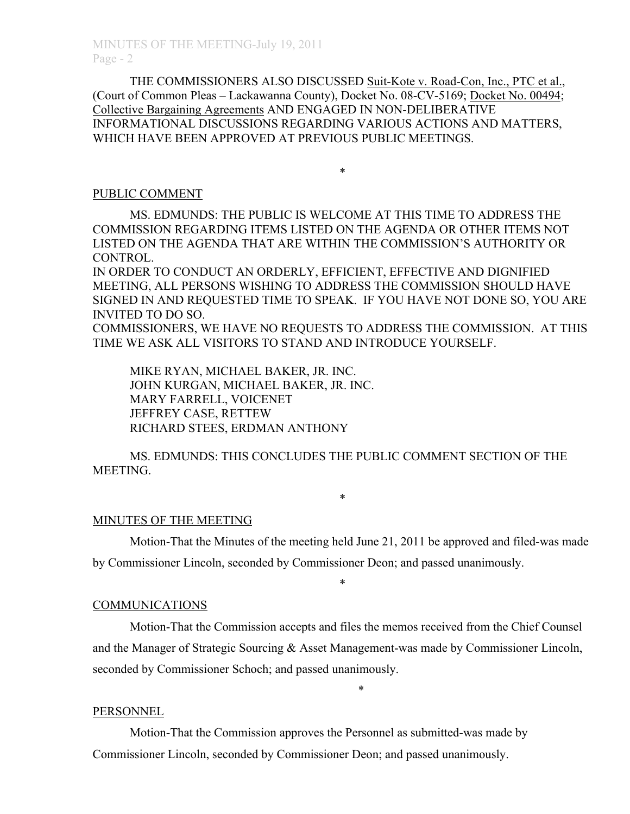THE COMMISSIONERS ALSO DISCUSSED Suit-Kote v. Road-Con, Inc., PTC et al., (Court of Common Pleas – Lackawanna County), Docket No. 08-CV-5169; Docket No. 00494; Collective Bargaining Agreements AND ENGAGED IN NON-DELIBERATIVE INFORMATIONAL DISCUSSIONS REGARDING VARIOUS ACTIONS AND MATTERS, WHICH HAVE BEEN APPROVED AT PREVIOUS PUBLIC MEETINGS.

\*

#### PUBLIC COMMENT

MS. EDMUNDS: THE PUBLIC IS WELCOME AT THIS TIME TO ADDRESS THE COMMISSION REGARDING ITEMS LISTED ON THE AGENDA OR OTHER ITEMS NOT LISTED ON THE AGENDA THAT ARE WITHIN THE COMMISSION'S AUTHORITY OR CONTROL.

IN ORDER TO CONDUCT AN ORDERLY, EFFICIENT, EFFECTIVE AND DIGNIFIED MEETING, ALL PERSONS WISHING TO ADDRESS THE COMMISSION SHOULD HAVE SIGNED IN AND REQUESTED TIME TO SPEAK. IF YOU HAVE NOT DONE SO, YOU ARE INVITED TO DO SO.

COMMISSIONERS, WE HAVE NO REQUESTS TO ADDRESS THE COMMISSION. AT THIS TIME WE ASK ALL VISITORS TO STAND AND INTRODUCE YOURSELF.

MIKE RYAN, MICHAEL BAKER, JR. INC. JOHN KURGAN, MICHAEL BAKER, JR. INC. MARY FARRELL, VOICENET JEFFREY CASE, RETTEW RICHARD STEES, ERDMAN ANTHONY

MS. EDMUNDS: THIS CONCLUDES THE PUBLIC COMMENT SECTION OF THE MEETING.

#### \*

## MINUTES OF THE MEETING

Motion-That the Minutes of the meeting held June 21, 2011 be approved and filed-was made by Commissioner Lincoln, seconded by Commissioner Deon; and passed unanimously.

\*

# COMMUNICATIONS

Motion-That the Commission accepts and files the memos received from the Chief Counsel and the Manager of Strategic Sourcing & Asset Management-was made by Commissioner Lincoln, seconded by Commissioner Schoch; and passed unanimously.

\*

## PERSONNEL

Motion-That the Commission approves the Personnel as submitted-was made by Commissioner Lincoln, seconded by Commissioner Deon; and passed unanimously.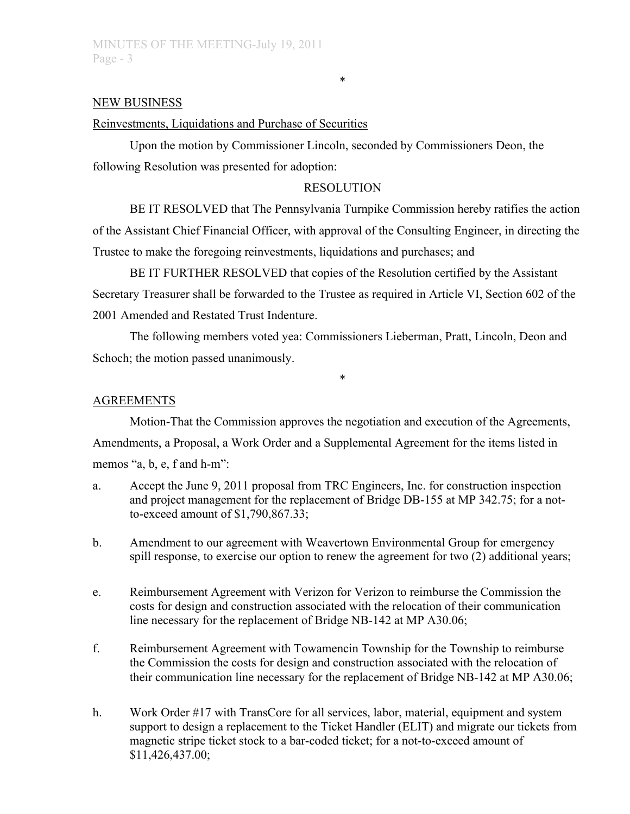#### NEW BUSINESS

#### Reinvestments, Liquidations and Purchase of Securities

Upon the motion by Commissioner Lincoln, seconded by Commissioners Deon, the following Resolution was presented for adoption:

## RESOLUTION

\*

BE IT RESOLVED that The Pennsylvania Turnpike Commission hereby ratifies the action of the Assistant Chief Financial Officer, with approval of the Consulting Engineer, in directing the Trustee to make the foregoing reinvestments, liquidations and purchases; and

BE IT FURTHER RESOLVED that copies of the Resolution certified by the Assistant Secretary Treasurer shall be forwarded to the Trustee as required in Article VI, Section 602 of the 2001 Amended and Restated Trust Indenture.

The following members voted yea: Commissioners Lieberman, Pratt, Lincoln, Deon and Schoch; the motion passed unanimously.

\*

#### AGREEMENTS

Motion-That the Commission approves the negotiation and execution of the Agreements, Amendments, a Proposal, a Work Order and a Supplemental Agreement for the items listed in memos "a, b, e, f and h-m":

- a. Accept the June 9, 2011 proposal from TRC Engineers, Inc. for construction inspection and project management for the replacement of Bridge DB-155 at MP 342.75; for a notto-exceed amount of \$1,790,867.33;
- b. Amendment to our agreement with Weavertown Environmental Group for emergency spill response, to exercise our option to renew the agreement for two (2) additional years;
- e. Reimbursement Agreement with Verizon for Verizon to reimburse the Commission the costs for design and construction associated with the relocation of their communication line necessary for the replacement of Bridge NB-142 at MP A30.06;
- f. Reimbursement Agreement with Towamencin Township for the Township to reimburse the Commission the costs for design and construction associated with the relocation of their communication line necessary for the replacement of Bridge NB-142 at MP A30.06;
- h. Work Order #17 with TransCore for all services, labor, material, equipment and system support to design a replacement to the Ticket Handler (ELIT) and migrate our tickets from magnetic stripe ticket stock to a bar-coded ticket; for a not-to-exceed amount of \$11,426,437.00;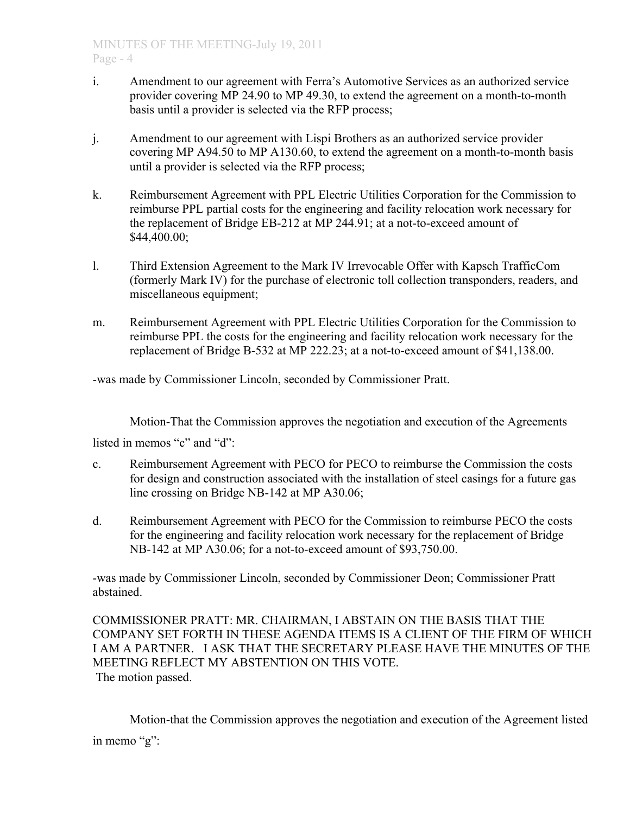- i. Amendment to our agreement with Ferra's Automotive Services as an authorized service provider covering MP 24.90 to MP 49.30, to extend the agreement on a month-to-month basis until a provider is selected via the RFP process;
- j. Amendment to our agreement with Lispi Brothers as an authorized service provider covering MP A94.50 to MP A130.60, to extend the agreement on a month-to-month basis until a provider is selected via the RFP process;
- k. Reimbursement Agreement with PPL Electric Utilities Corporation for the Commission to reimburse PPL partial costs for the engineering and facility relocation work necessary for the replacement of Bridge EB-212 at MP 244.91; at a not-to-exceed amount of \$44,400.00;
- l. Third Extension Agreement to the Mark IV Irrevocable Offer with Kapsch TrafficCom (formerly Mark IV) for the purchase of electronic toll collection transponders, readers, and miscellaneous equipment;
- m. Reimbursement Agreement with PPL Electric Utilities Corporation for the Commission to reimburse PPL the costs for the engineering and facility relocation work necessary for the replacement of Bridge B-532 at MP 222.23; at a not-to-exceed amount of \$41,138.00.

-was made by Commissioner Lincoln, seconded by Commissioner Pratt.

Motion-That the Commission approves the negotiation and execution of the Agreements

listed in memos "c" and "d"

- c. Reimbursement Agreement with PECO for PECO to reimburse the Commission the costs for design and construction associated with the installation of steel casings for a future gas line crossing on Bridge NB-142 at MP A30.06;
- d. Reimbursement Agreement with PECO for the Commission to reimburse PECO the costs for the engineering and facility relocation work necessary for the replacement of Bridge NB-142 at MP A30.06; for a not-to-exceed amount of \$93,750.00.

-was made by Commissioner Lincoln, seconded by Commissioner Deon; Commissioner Pratt abstained.

COMMISSIONER PRATT: MR. CHAIRMAN, I ABSTAIN ON THE BASIS THAT THE COMPANY SET FORTH IN THESE AGENDA ITEMS IS A CLIENT OF THE FIRM OF WHICH I AM A PARTNER. I ASK THAT THE SECRETARY PLEASE HAVE THE MINUTES OF THE MEETING REFLECT MY ABSTENTION ON THIS VOTE. The motion passed.

Motion-that the Commission approves the negotiation and execution of the Agreement listed in memo "g":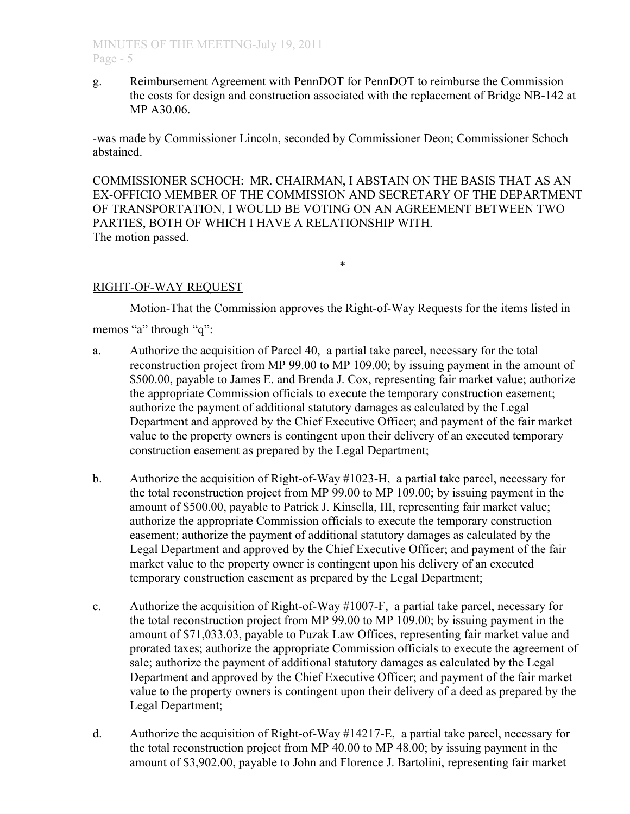g. Reimbursement Agreement with PennDOT for PennDOT to reimburse the Commission the costs for design and construction associated with the replacement of Bridge NB-142 at MP A30.06.

-was made by Commissioner Lincoln, seconded by Commissioner Deon; Commissioner Schoch abstained.

COMMISSIONER SCHOCH: MR. CHAIRMAN, I ABSTAIN ON THE BASIS THAT AS AN EX-OFFICIO MEMBER OF THE COMMISSION AND SECRETARY OF THE DEPARTMENT OF TRANSPORTATION, I WOULD BE VOTING ON AN AGREEMENT BETWEEN TWO PARTIES, BOTH OF WHICH I HAVE A RELATIONSHIP WITH. The motion passed.

\*

## RIGHT-OF-WAY REQUEST

Motion-That the Commission approves the Right-of-Way Requests for the items listed in memos "a" through "q":

- a. Authorize the acquisition of Parcel 40, a partial take parcel, necessary for the total reconstruction project from MP 99.00 to MP 109.00; by issuing payment in the amount of \$500.00, payable to James E. and Brenda J. Cox, representing fair market value; authorize the appropriate Commission officials to execute the temporary construction easement; authorize the payment of additional statutory damages as calculated by the Legal Department and approved by the Chief Executive Officer; and payment of the fair market value to the property owners is contingent upon their delivery of an executed temporary construction easement as prepared by the Legal Department;
- b. Authorize the acquisition of Right-of-Way #1023-H, a partial take parcel, necessary for the total reconstruction project from MP 99.00 to MP 109.00; by issuing payment in the amount of \$500.00, payable to Patrick J. Kinsella, III, representing fair market value; authorize the appropriate Commission officials to execute the temporary construction easement; authorize the payment of additional statutory damages as calculated by the Legal Department and approved by the Chief Executive Officer; and payment of the fair market value to the property owner is contingent upon his delivery of an executed temporary construction easement as prepared by the Legal Department;
- c. Authorize the acquisition of Right-of-Way #1007-F, a partial take parcel, necessary for the total reconstruction project from MP 99.00 to MP 109.00; by issuing payment in the amount of \$71,033.03, payable to Puzak Law Offices, representing fair market value and prorated taxes; authorize the appropriate Commission officials to execute the agreement of sale; authorize the payment of additional statutory damages as calculated by the Legal Department and approved by the Chief Executive Officer; and payment of the fair market value to the property owners is contingent upon their delivery of a deed as prepared by the Legal Department;
- d. Authorize the acquisition of Right-of-Way #14217-E, a partial take parcel, necessary for the total reconstruction project from MP 40.00 to MP 48.00; by issuing payment in the amount of \$3,902.00, payable to John and Florence J. Bartolini, representing fair market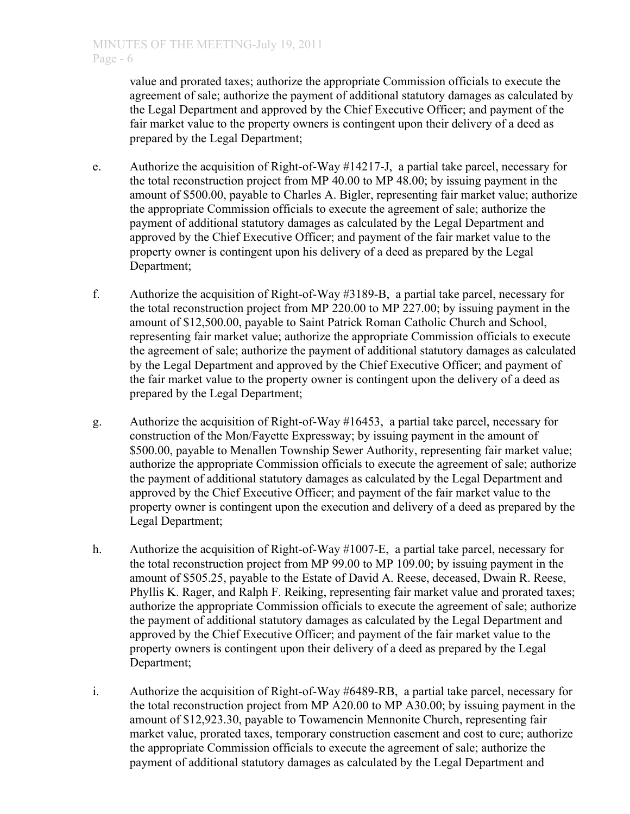value and prorated taxes; authorize the appropriate Commission officials to execute the agreement of sale; authorize the payment of additional statutory damages as calculated by the Legal Department and approved by the Chief Executive Officer; and payment of the fair market value to the property owners is contingent upon their delivery of a deed as prepared by the Legal Department;

- e. Authorize the acquisition of Right-of-Way #14217-J, a partial take parcel, necessary for the total reconstruction project from MP 40.00 to MP 48.00; by issuing payment in the amount of \$500.00, payable to Charles A. Bigler, representing fair market value; authorize the appropriate Commission officials to execute the agreement of sale; authorize the payment of additional statutory damages as calculated by the Legal Department and approved by the Chief Executive Officer; and payment of the fair market value to the property owner is contingent upon his delivery of a deed as prepared by the Legal Department;
- f. Authorize the acquisition of Right-of-Way #3189-B, a partial take parcel, necessary for the total reconstruction project from MP 220.00 to MP 227.00; by issuing payment in the amount of \$12,500.00, payable to Saint Patrick Roman Catholic Church and School, representing fair market value; authorize the appropriate Commission officials to execute the agreement of sale; authorize the payment of additional statutory damages as calculated by the Legal Department and approved by the Chief Executive Officer; and payment of the fair market value to the property owner is contingent upon the delivery of a deed as prepared by the Legal Department;
- g. Authorize the acquisition of Right-of-Way #16453, a partial take parcel, necessary for construction of the Mon/Fayette Expressway; by issuing payment in the amount of \$500.00, payable to Menallen Township Sewer Authority, representing fair market value; authorize the appropriate Commission officials to execute the agreement of sale; authorize the payment of additional statutory damages as calculated by the Legal Department and approved by the Chief Executive Officer; and payment of the fair market value to the property owner is contingent upon the execution and delivery of a deed as prepared by the Legal Department;
- h. Authorize the acquisition of Right-of-Way #1007-E, a partial take parcel, necessary for the total reconstruction project from MP 99.00 to MP 109.00; by issuing payment in the amount of \$505.25, payable to the Estate of David A. Reese, deceased, Dwain R. Reese, Phyllis K. Rager, and Ralph F. Reiking, representing fair market value and prorated taxes; authorize the appropriate Commission officials to execute the agreement of sale; authorize the payment of additional statutory damages as calculated by the Legal Department and approved by the Chief Executive Officer; and payment of the fair market value to the property owners is contingent upon their delivery of a deed as prepared by the Legal Department;
- i. Authorize the acquisition of Right-of-Way #6489-RB, a partial take parcel, necessary for the total reconstruction project from MP A20.00 to MP A30.00; by issuing payment in the amount of \$12,923.30, payable to Towamencin Mennonite Church, representing fair market value, prorated taxes, temporary construction easement and cost to cure; authorize the appropriate Commission officials to execute the agreement of sale; authorize the payment of additional statutory damages as calculated by the Legal Department and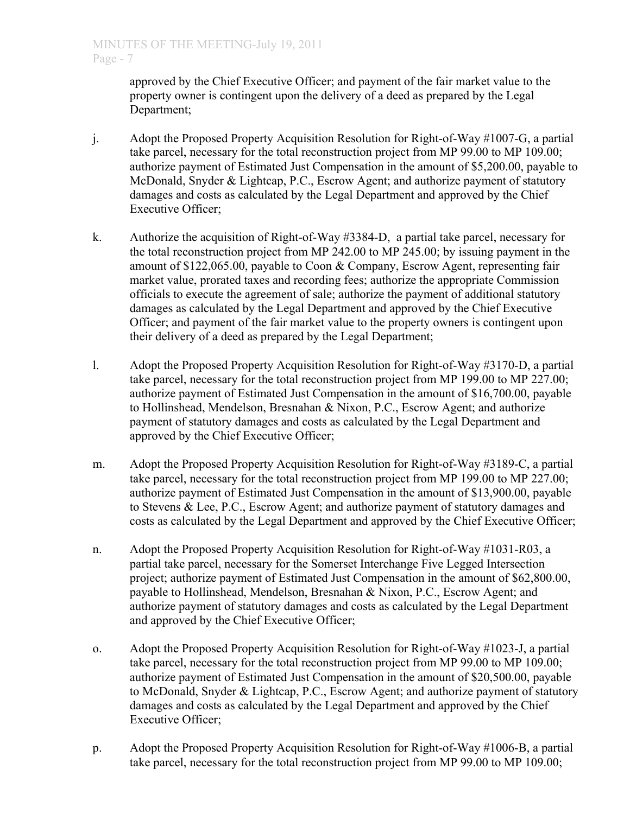approved by the Chief Executive Officer; and payment of the fair market value to the property owner is contingent upon the delivery of a deed as prepared by the Legal Department;

- j. Adopt the Proposed Property Acquisition Resolution for Right-of-Way #1007-G, a partial take parcel, necessary for the total reconstruction project from MP 99.00 to MP 109.00; authorize payment of Estimated Just Compensation in the amount of \$5,200.00, payable to McDonald, Snyder & Lightcap, P.C., Escrow Agent; and authorize payment of statutory damages and costs as calculated by the Legal Department and approved by the Chief Executive Officer;
- k. Authorize the acquisition of Right-of-Way #3384-D, a partial take parcel, necessary for the total reconstruction project from MP 242.00 to MP 245.00; by issuing payment in the amount of \$122,065.00, payable to Coon & Company, Escrow Agent, representing fair market value, prorated taxes and recording fees; authorize the appropriate Commission officials to execute the agreement of sale; authorize the payment of additional statutory damages as calculated by the Legal Department and approved by the Chief Executive Officer; and payment of the fair market value to the property owners is contingent upon their delivery of a deed as prepared by the Legal Department;
- l. Adopt the Proposed Property Acquisition Resolution for Right-of-Way #3170-D, a partial take parcel, necessary for the total reconstruction project from MP 199.00 to MP 227.00; authorize payment of Estimated Just Compensation in the amount of \$16,700.00, payable to Hollinshead, Mendelson, Bresnahan & Nixon, P.C., Escrow Agent; and authorize payment of statutory damages and costs as calculated by the Legal Department and approved by the Chief Executive Officer;
- m. Adopt the Proposed Property Acquisition Resolution for Right-of-Way #3189-C, a partial take parcel, necessary for the total reconstruction project from MP 199.00 to MP 227.00; authorize payment of Estimated Just Compensation in the amount of \$13,900.00, payable to Stevens & Lee, P.C., Escrow Agent; and authorize payment of statutory damages and costs as calculated by the Legal Department and approved by the Chief Executive Officer;
- n. Adopt the Proposed Property Acquisition Resolution for Right-of-Way #1031-R03, a partial take parcel, necessary for the Somerset Interchange Five Legged Intersection project; authorize payment of Estimated Just Compensation in the amount of \$62,800.00, payable to Hollinshead, Mendelson, Bresnahan & Nixon, P.C., Escrow Agent; and authorize payment of statutory damages and costs as calculated by the Legal Department and approved by the Chief Executive Officer;
- o. Adopt the Proposed Property Acquisition Resolution for Right-of-Way #1023-J, a partial take parcel, necessary for the total reconstruction project from MP 99.00 to MP 109.00; authorize payment of Estimated Just Compensation in the amount of \$20,500.00, payable to McDonald, Snyder & Lightcap, P.C., Escrow Agent; and authorize payment of statutory damages and costs as calculated by the Legal Department and approved by the Chief Executive Officer;
- p. Adopt the Proposed Property Acquisition Resolution for Right-of-Way #1006-B, a partial take parcel, necessary for the total reconstruction project from MP 99.00 to MP 109.00;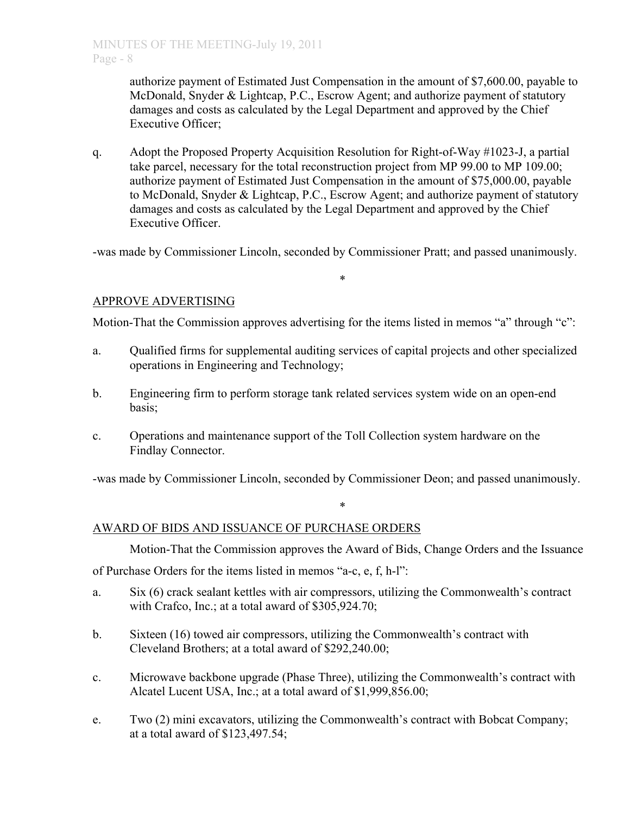authorize payment of Estimated Just Compensation in the amount of \$7,600.00, payable to McDonald, Snyder & Lightcap, P.C., Escrow Agent; and authorize payment of statutory damages and costs as calculated by the Legal Department and approved by the Chief Executive Officer;

q. Adopt the Proposed Property Acquisition Resolution for Right-of-Way #1023-J, a partial take parcel, necessary for the total reconstruction project from MP 99.00 to MP 109.00; authorize payment of Estimated Just Compensation in the amount of \$75,000.00, payable to McDonald, Snyder & Lightcap, P.C., Escrow Agent; and authorize payment of statutory damages and costs as calculated by the Legal Department and approved by the Chief Executive Officer.

-was made by Commissioner Lincoln, seconded by Commissioner Pratt; and passed unanimously.

\*

# APPROVE ADVERTISING

Motion-That the Commission approves advertising for the items listed in memos "a" through "c":

- a. Qualified firms for supplemental auditing services of capital projects and other specialized operations in Engineering and Technology;
- b. Engineering firm to perform storage tank related services system wide on an open-end basis;
- c. Operations and maintenance support of the Toll Collection system hardware on the Findlay Connector.

-was made by Commissioner Lincoln, seconded by Commissioner Deon; and passed unanimously.

\*

# AWARD OF BIDS AND ISSUANCE OF PURCHASE ORDERS

Motion-That the Commission approves the Award of Bids, Change Orders and the Issuance

of Purchase Orders for the items listed in memos "a-c, e, f, h-l":

- a. Six (6) crack sealant kettles with air compressors, utilizing the Commonwealth's contract with Crafco, Inc.; at a total award of \$305,924.70;
- b. Sixteen (16) towed air compressors, utilizing the Commonwealth's contract with Cleveland Brothers; at a total award of \$292,240.00;
- c. Microwave backbone upgrade (Phase Three), utilizing the Commonwealth's contract with Alcatel Lucent USA, Inc.; at a total award of \$1,999,856.00;
- e. Two (2) mini excavators, utilizing the Commonwealth's contract with Bobcat Company; at a total award of \$123,497.54;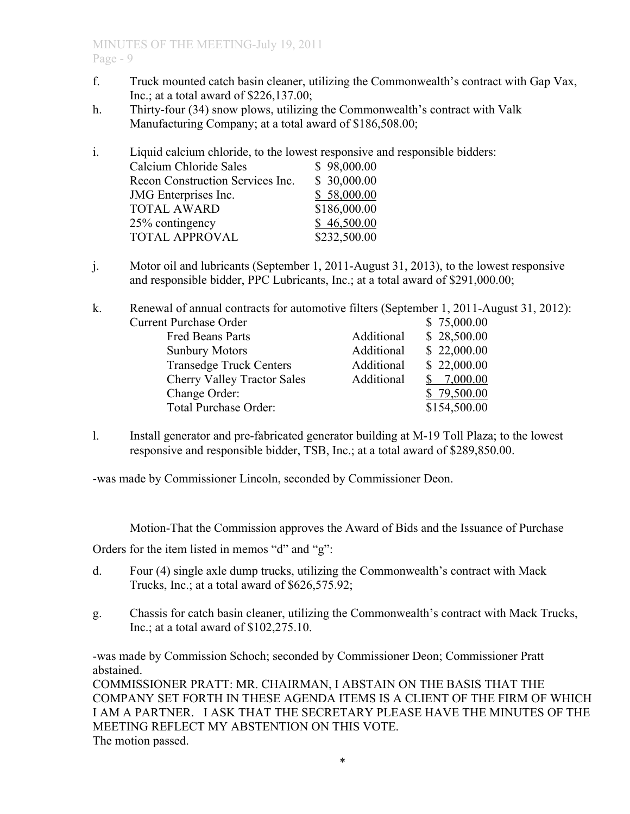# MINUTES OF THE MEETING-July 19, 2011 Page - 9

- f. Truck mounted catch basin cleaner, utilizing the Commonwealth's contract with Gap Vax, Inc.; at a total award of \$226,137.00;
- h. Thirty-four (34) snow plows, utilizing the Commonwealth's contract with Valk Manufacturing Company; at a total award of \$186,508.00;

i. Liquid calcium chloride, to the lowest responsive and responsible bidders:

| Calcium Chloride Sales           | \$98,000.00  |
|----------------------------------|--------------|
| Recon Construction Services Inc. | \$30,000.00  |
| JMG Enterprises Inc.             | \$58,000.00  |
| <b>TOTAL AWARD</b>               | \$186,000.00 |
| 25% contingency                  | \$46,500.00  |
| <b>TOTAL APPROVAL</b>            | \$232,500.00 |
|                                  |              |

j. Motor oil and lubricants (September 1, 2011-August 31, 2013), to the lowest responsive and responsible bidder, PPC Lubricants, Inc.; at a total award of \$291,000.00;

k. Renewal of annual contracts for automotive filters (September 1, 2011-August 31, 2012): Current Purchase Order \$ 75,000.00 Fred Beans Parts Additional \$ 28,500.00 Sunbury Motors Additional \$ 22,000.00 Transedge Truck Centers Additional \$ 22,000.00 Cherry Valley Tractor Sales Additional \$ 7,000.00 Change Order: \$ 79,500.00 Total Purchase Order:  $$154,500.00$ 

l. Install generator and pre-fabricated generator building at M-19 Toll Plaza; to the lowest responsive and responsible bidder, TSB, Inc.; at a total award of \$289,850.00.

-was made by Commissioner Lincoln, seconded by Commissioner Deon.

Motion-That the Commission approves the Award of Bids and the Issuance of Purchase

Orders for the item listed in memos "d" and "g":

- d. Four (4) single axle dump trucks, utilizing the Commonwealth's contract with Mack Trucks, Inc.; at a total award of \$626,575.92;
- g. Chassis for catch basin cleaner, utilizing the Commonwealth's contract with Mack Trucks, Inc.; at a total award of \$102,275.10.

-was made by Commission Schoch; seconded by Commissioner Deon; Commissioner Pratt abstained.

COMMISSIONER PRATT: MR. CHAIRMAN, I ABSTAIN ON THE BASIS THAT THE COMPANY SET FORTH IN THESE AGENDA ITEMS IS A CLIENT OF THE FIRM OF WHICH I AM A PARTNER. I ASK THAT THE SECRETARY PLEASE HAVE THE MINUTES OF THE MEETING REFLECT MY ABSTENTION ON THIS VOTE. The motion passed.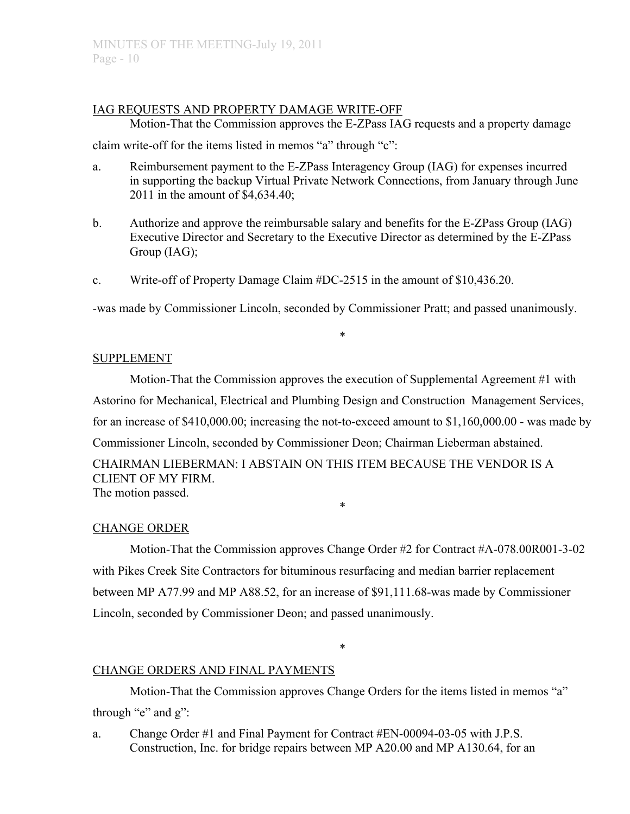# IAG REQUESTS AND PROPERTY DAMAGE WRITE-OFF

Motion-That the Commission approves the E-ZPass IAG requests and a property damage claim write-off for the items listed in memos "a" through "c":

- a. Reimbursement payment to the E-ZPass Interagency Group (IAG) for expenses incurred in supporting the backup Virtual Private Network Connections, from January through June 2011 in the amount of \$4,634.40;
- b. Authorize and approve the reimbursable salary and benefits for the E-ZPass Group (IAG) Executive Director and Secretary to the Executive Director as determined by the E-ZPass Group (IAG);
- c. Write-off of Property Damage Claim #DC-2515 in the amount of \$10,436.20.

-was made by Commissioner Lincoln, seconded by Commissioner Pratt; and passed unanimously.

\*

## SUPPLEMENT

Motion-That the Commission approves the execution of Supplemental Agreement #1 with Astorino for Mechanical, Electrical and Plumbing Design and Construction Management Services, for an increase of \$410,000.00; increasing the not-to-exceed amount to \$1,160,000.00 - was made by Commissioner Lincoln, seconded by Commissioner Deon; Chairman Lieberman abstained. CHAIRMAN LIEBERMAN: I ABSTAIN ON THIS ITEM BECAUSE THE VENDOR IS A CLIENT OF MY FIRM.

\*

The motion passed.

## CHANGE ORDER

Motion-That the Commission approves Change Order #2 for Contract #A-078.00R001-3-02 with Pikes Creek Site Contractors for bituminous resurfacing and median barrier replacement between MP A77.99 and MP A88.52, for an increase of \$91,111.68-was made by Commissioner Lincoln, seconded by Commissioner Deon; and passed unanimously.

\*

# CHANGE ORDERS AND FINAL PAYMENTS

Motion-That the Commission approves Change Orders for the items listed in memos "a" through " $e$ " and  $g$ ":

a. Change Order #1 and Final Payment for Contract #EN-00094-03-05 with J.P.S. Construction, Inc. for bridge repairs between MP A20.00 and MP A130.64, for an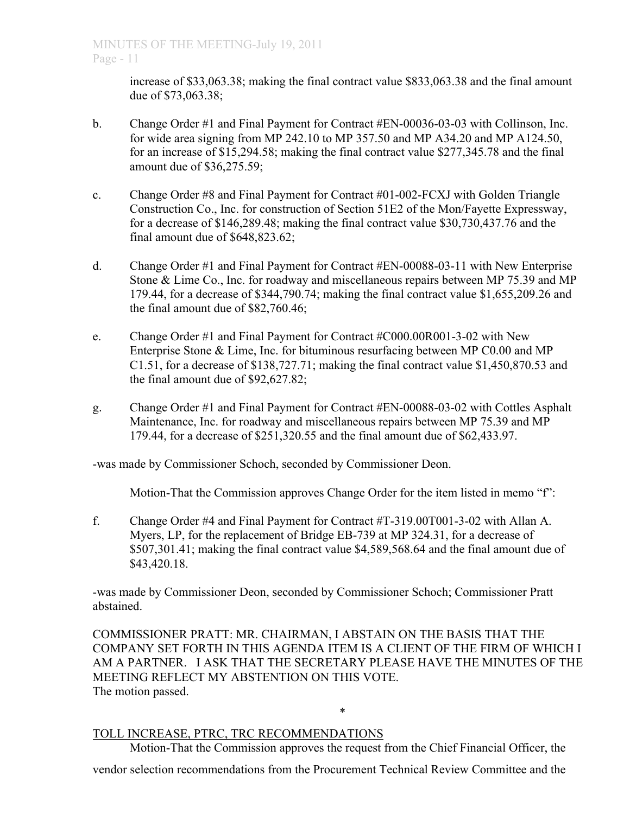increase of \$33,063.38; making the final contract value \$833,063.38 and the final amount due of \$73,063.38;

- b. Change Order #1 and Final Payment for Contract #EN-00036-03-03 with Collinson, Inc. for wide area signing from MP 242.10 to MP 357.50 and MP A34.20 and MP A124.50, for an increase of \$15,294.58; making the final contract value \$277,345.78 and the final amount due of \$36,275.59;
- c. Change Order #8 and Final Payment for Contract #01-002-FCXJ with Golden Triangle Construction Co., Inc. for construction of Section 51E2 of the Mon/Fayette Expressway, for a decrease of \$146,289.48; making the final contract value \$30,730,437.76 and the final amount due of \$648,823.62;
- d. Change Order #1 and Final Payment for Contract #EN-00088-03-11 with New Enterprise Stone & Lime Co., Inc. for roadway and miscellaneous repairs between MP 75.39 and MP 179.44, for a decrease of \$344,790.74; making the final contract value \$1,655,209.26 and the final amount due of \$82,760.46;
- e. Change Order #1 and Final Payment for Contract #C000.00R001-3-02 with New Enterprise Stone & Lime, Inc. for bituminous resurfacing between MP C0.00 and MP C1.51, for a decrease of \$138,727.71; making the final contract value \$1,450,870.53 and the final amount due of \$92,627.82;
- g. Change Order #1 and Final Payment for Contract #EN-00088-03-02 with Cottles Asphalt Maintenance, Inc. for roadway and miscellaneous repairs between MP 75.39 and MP 179.44, for a decrease of \$251,320.55 and the final amount due of \$62,433.97.

-was made by Commissioner Schoch, seconded by Commissioner Deon.

Motion-That the Commission approves Change Order for the item listed in memo "f":

f. Change Order #4 and Final Payment for Contract #T-319.00T001-3-02 with Allan A. Myers, LP, for the replacement of Bridge EB-739 at MP 324.31, for a decrease of \$507,301.41; making the final contract value \$4,589,568.64 and the final amount due of \$43,420.18.

-was made by Commissioner Deon, seconded by Commissioner Schoch; Commissioner Pratt abstained.

COMMISSIONER PRATT: MR. CHAIRMAN, I ABSTAIN ON THE BASIS THAT THE COMPANY SET FORTH IN THIS AGENDA ITEM IS A CLIENT OF THE FIRM OF WHICH I AM A PARTNER. I ASK THAT THE SECRETARY PLEASE HAVE THE MINUTES OF THE MEETING REFLECT MY ABSTENTION ON THIS VOTE. The motion passed.

\*

# TOLL INCREASE, PTRC, TRC RECOMMENDATIONS

Motion-That the Commission approves the request from the Chief Financial Officer, the vendor selection recommendations from the Procurement Technical Review Committee and the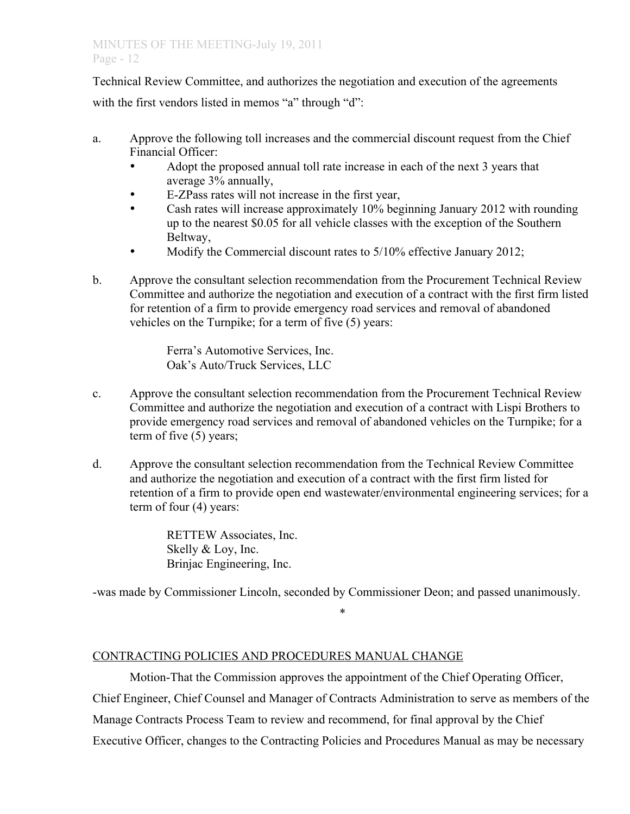Technical Review Committee, and authorizes the negotiation and execution of the agreements with the first vendors listed in memos "a" through "d":

- a. Approve the following toll increases and the commercial discount request from the Chief Financial Officer:
	- Adopt the proposed annual toll rate increase in each of the next 3 years that average 3% annually,
	- E-ZPass rates will not increase in the first year,
	- Cash rates will increase approximately 10% beginning January 2012 with rounding up to the nearest \$0.05 for all vehicle classes with the exception of the Southern Beltway,
	- Modify the Commercial discount rates to 5/10% effective January 2012;
- b. Approve the consultant selection recommendation from the Procurement Technical Review Committee and authorize the negotiation and execution of a contract with the first firm listed for retention of a firm to provide emergency road services and removal of abandoned vehicles on the Turnpike; for a term of five (5) years:

 Ferra's Automotive Services, Inc. Oak's Auto/Truck Services, LLC

- c. Approve the consultant selection recommendation from the Procurement Technical Review Committee and authorize the negotiation and execution of a contract with Lispi Brothers to provide emergency road services and removal of abandoned vehicles on the Turnpike; for a term of five (5) years;
- d. Approve the consultant selection recommendation from the Technical Review Committee and authorize the negotiation and execution of a contract with the first firm listed for retention of a firm to provide open end wastewater/environmental engineering services; for a term of four (4) years:

 RETTEW Associates, Inc. Skelly & Loy, Inc. Brinjac Engineering, Inc.

-was made by Commissioner Lincoln, seconded by Commissioner Deon; and passed unanimously.

\*

# CONTRACTING POLICIES AND PROCEDURES MANUAL CHANGE

Motion-That the Commission approves the appointment of the Chief Operating Officer, Chief Engineer, Chief Counsel and Manager of Contracts Administration to serve as members of the Manage Contracts Process Team to review and recommend, for final approval by the Chief Executive Officer, changes to the Contracting Policies and Procedures Manual as may be necessary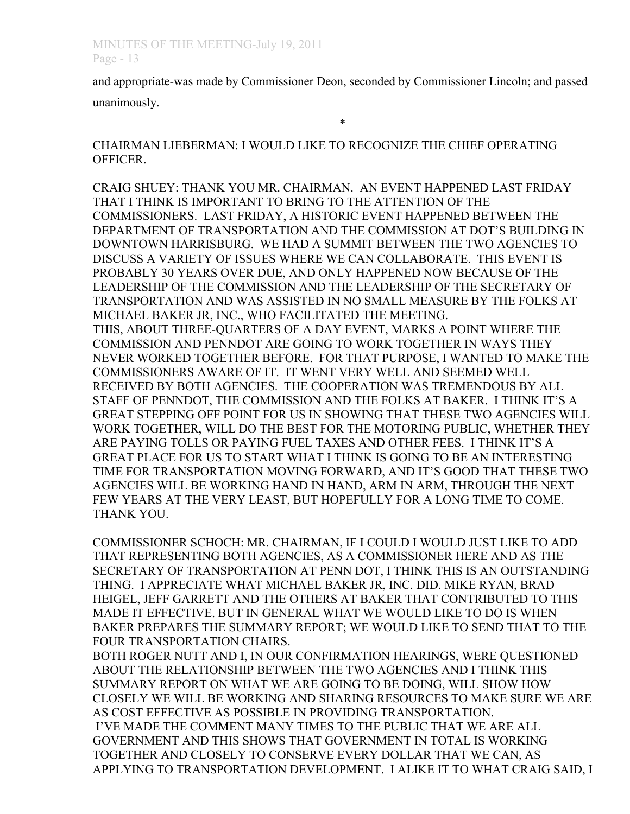and appropriate-was made by Commissioner Deon, seconded by Commissioner Lincoln; and passed unanimously.

\*

CHAIRMAN LIEBERMAN: I WOULD LIKE TO RECOGNIZE THE CHIEF OPERATING OFFICER.

CRAIG SHUEY: THANK YOU MR. CHAIRMAN. AN EVENT HAPPENED LAST FRIDAY THAT I THINK IS IMPORTANT TO BRING TO THE ATTENTION OF THE COMMISSIONERS. LAST FRIDAY, A HISTORIC EVENT HAPPENED BETWEEN THE DEPARTMENT OF TRANSPORTATION AND THE COMMISSION AT DOT'S BUILDING IN DOWNTOWN HARRISBURG. WE HAD A SUMMIT BETWEEN THE TWO AGENCIES TO DISCUSS A VARIETY OF ISSUES WHERE WE CAN COLLABORATE. THIS EVENT IS PROBABLY 30 YEARS OVER DUE, AND ONLY HAPPENED NOW BECAUSE OF THE LEADERSHIP OF THE COMMISSION AND THE LEADERSHIP OF THE SECRETARY OF TRANSPORTATION AND WAS ASSISTED IN NO SMALL MEASURE BY THE FOLKS AT MICHAEL BAKER JR, INC., WHO FACILITATED THE MEETING. THIS, ABOUT THREE-QUARTERS OF A DAY EVENT, MARKS A POINT WHERE THE COMMISSION AND PENNDOT ARE GOING TO WORK TOGETHER IN WAYS THEY NEVER WORKED TOGETHER BEFORE. FOR THAT PURPOSE, I WANTED TO MAKE THE COMMISSIONERS AWARE OF IT. IT WENT VERY WELL AND SEEMED WELL RECEIVED BY BOTH AGENCIES. THE COOPERATION WAS TREMENDOUS BY ALL STAFF OF PENNDOT, THE COMMISSION AND THE FOLKS AT BAKER. I THINK IT'S A GREAT STEPPING OFF POINT FOR US IN SHOWING THAT THESE TWO AGENCIES WILL WORK TOGETHER, WILL DO THE BEST FOR THE MOTORING PUBLIC, WHETHER THEY ARE PAYING TOLLS OR PAYING FUEL TAXES AND OTHER FEES. I THINK IT'S A GREAT PLACE FOR US TO START WHAT I THINK IS GOING TO BE AN INTERESTING TIME FOR TRANSPORTATION MOVING FORWARD, AND IT'S GOOD THAT THESE TWO AGENCIES WILL BE WORKING HAND IN HAND, ARM IN ARM, THROUGH THE NEXT FEW YEARS AT THE VERY LEAST, BUT HOPEFULLY FOR A LONG TIME TO COME. THANK YOU.

COMMISSIONER SCHOCH: MR. CHAIRMAN, IF I COULD I WOULD JUST LIKE TO ADD THAT REPRESENTING BOTH AGENCIES, AS A COMMISSIONER HERE AND AS THE SECRETARY OF TRANSPORTATION AT PENN DOT, I THINK THIS IS AN OUTSTANDING THING. I APPRECIATE WHAT MICHAEL BAKER JR, INC. DID. MIKE RYAN, BRAD HEIGEL, JEFF GARRETT AND THE OTHERS AT BAKER THAT CONTRIBUTED TO THIS MADE IT EFFECTIVE. BUT IN GENERAL WHAT WE WOULD LIKE TO DO IS WHEN BAKER PREPARES THE SUMMARY REPORT; WE WOULD LIKE TO SEND THAT TO THE FOUR TRANSPORTATION CHAIRS.

BOTH ROGER NUTT AND I, IN OUR CONFIRMATION HEARINGS, WERE QUESTIONED ABOUT THE RELATIONSHIP BETWEEN THE TWO AGENCIES AND I THINK THIS SUMMARY REPORT ON WHAT WE ARE GOING TO BE DOING, WILL SHOW HOW CLOSELY WE WILL BE WORKING AND SHARING RESOURCES TO MAKE SURE WE ARE AS COST EFFECTIVE AS POSSIBLE IN PROVIDING TRANSPORTATION. I'VE MADE THE COMMENT MANY TIMES TO THE PUBLIC THAT WE ARE ALL GOVERNMENT AND THIS SHOWS THAT GOVERNMENT IN TOTAL IS WORKING TOGETHER AND CLOSELY TO CONSERVE EVERY DOLLAR THAT WE CAN, AS APPLYING TO TRANSPORTATION DEVELOPMENT. I ALIKE IT TO WHAT CRAIG SAID, I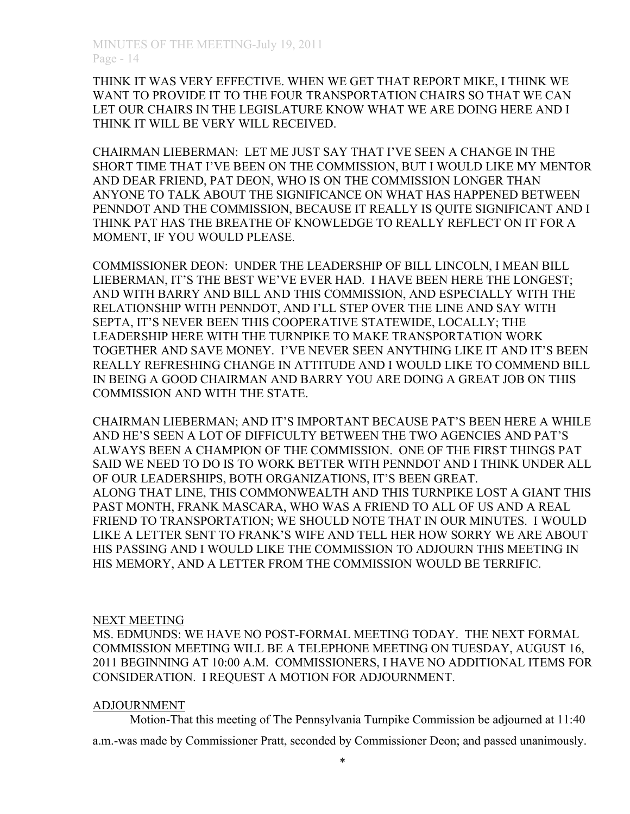THINK IT WAS VERY EFFECTIVE. WHEN WE GET THAT REPORT MIKE, I THINK WE WANT TO PROVIDE IT TO THE FOUR TRANSPORTATION CHAIRS SO THAT WE CAN LET OUR CHAIRS IN THE LEGISLATURE KNOW WHAT WE ARE DOING HERE AND I THINK IT WILL BE VERY WILL RECEIVED.

CHAIRMAN LIEBERMAN: LET ME JUST SAY THAT I'VE SEEN A CHANGE IN THE SHORT TIME THAT I'VE BEEN ON THE COMMISSION, BUT I WOULD LIKE MY MENTOR AND DEAR FRIEND, PAT DEON, WHO IS ON THE COMMISSION LONGER THAN ANYONE TO TALK ABOUT THE SIGNIFICANCE ON WHAT HAS HAPPENED BETWEEN PENNDOT AND THE COMMISSION, BECAUSE IT REALLY IS QUITE SIGNIFICANT AND I THINK PAT HAS THE BREATHE OF KNOWLEDGE TO REALLY REFLECT ON IT FOR A MOMENT, IF YOU WOULD PLEASE.

COMMISSIONER DEON: UNDER THE LEADERSHIP OF BILL LINCOLN, I MEAN BILL LIEBERMAN, IT'S THE BEST WE'VE EVER HAD. I HAVE BEEN HERE THE LONGEST; AND WITH BARRY AND BILL AND THIS COMMISSION, AND ESPECIALLY WITH THE RELATIONSHIP WITH PENNDOT, AND I'LL STEP OVER THE LINE AND SAY WITH SEPTA, IT'S NEVER BEEN THIS COOPERATIVE STATEWIDE, LOCALLY; THE LEADERSHIP HERE WITH THE TURNPIKE TO MAKE TRANSPORTATION WORK TOGETHER AND SAVE MONEY. I'VE NEVER SEEN ANYTHING LIKE IT AND IT'S BEEN REALLY REFRESHING CHANGE IN ATTITUDE AND I WOULD LIKE TO COMMEND BILL IN BEING A GOOD CHAIRMAN AND BARRY YOU ARE DOING A GREAT JOB ON THIS COMMISSION AND WITH THE STATE.

CHAIRMAN LIEBERMAN; AND IT'S IMPORTANT BECAUSE PAT'S BEEN HERE A WHILE AND HE'S SEEN A LOT OF DIFFICULTY BETWEEN THE TWO AGENCIES AND PAT'S ALWAYS BEEN A CHAMPION OF THE COMMISSION. ONE OF THE FIRST THINGS PAT SAID WE NEED TO DO IS TO WORK BETTER WITH PENNDOT AND I THINK UNDER ALL OF OUR LEADERSHIPS, BOTH ORGANIZATIONS, IT'S BEEN GREAT. ALONG THAT LINE, THIS COMMONWEALTH AND THIS TURNPIKE LOST A GIANT THIS PAST MONTH, FRANK MASCARA, WHO WAS A FRIEND TO ALL OF US AND A REAL FRIEND TO TRANSPORTATION; WE SHOULD NOTE THAT IN OUR MINUTES. I WOULD LIKE A LETTER SENT TO FRANK'S WIFE AND TELL HER HOW SORRY WE ARE ABOUT HIS PASSING AND I WOULD LIKE THE COMMISSION TO ADJOURN THIS MEETING IN HIS MEMORY, AND A LETTER FROM THE COMMISSION WOULD BE TERRIFIC.

#### NEXT MEETING

MS. EDMUNDS: WE HAVE NO POST-FORMAL MEETING TODAY. THE NEXT FORMAL COMMISSION MEETING WILL BE A TELEPHONE MEETING ON TUESDAY, AUGUST 16, 2011 BEGINNING AT 10:00 A.M. COMMISSIONERS, I HAVE NO ADDITIONAL ITEMS FOR CONSIDERATION. I REQUEST A MOTION FOR ADJOURNMENT.

## ADJOURNMENT

Motion-That this meeting of The Pennsylvania Turnpike Commission be adjourned at 11:40

a.m.-was made by Commissioner Pratt, seconded by Commissioner Deon; and passed unanimously.